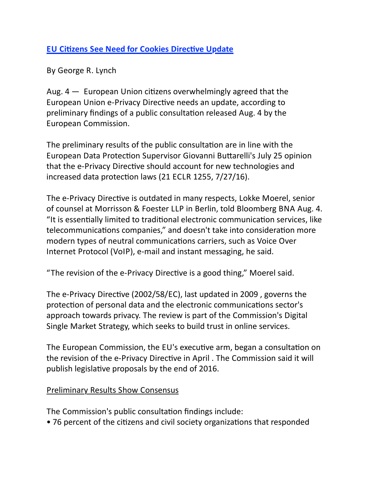## **EU Citizens See Need for Cookies Directive Update**

By George R. Lynch

Aug.  $4 -$  European Union citizens overwhelmingly agreed that the European Union e-Privacy Directive needs an update, according to preliminary findings of a public consultation released Aug. 4 by the European Commission.

The preliminary results of the public consultation are in line with the European Data Protection Supervisor Giovanni Buttarelli's July 25 opinion that the e-Privacy Directive should account for new technologies and increased data protection laws (21 ECLR 1255, 7/27/16).

The e-Privacy Directive is outdated in many respects, Lokke Moerel, senior of counsel at Morrisson & Foester LLP in Berlin, told Bloomberg BNA Aug. 4. "It is essentially limited to traditional electronic communication services, like telecommunications companies," and doesn't take into consideration more modern types of neutral communications carriers, such as Voice Over Internet Protocol (VoIP), e-mail and instant messaging, he said.

"The revision of the e-Privacy Directive is a good thing," Moerel said.

The e-Privacy Directive (2002/58/EC), last updated in 2009, governs the protection of personal data and the electronic communications sector's approach towards privacy. The review is part of the Commission's Digital Single Market Strategy, which seeks to build trust in online services.

The European Commission, the EU's executive arm, began a consultation on the revision of the e-Privacy Directive in April . The Commission said it will publish legislative proposals by the end of 2016.

## Preliminary Results Show Consensus

The Commission's public consultation findings include:

• 76 percent of the citizens and civil society organizations that responded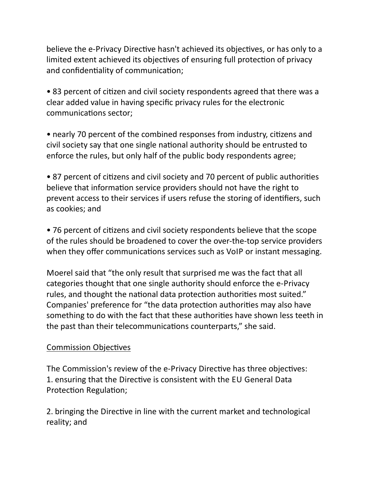believe the e-Privacy Directive hasn't achieved its objectives, or has only to a limited extent achieved its objectives of ensuring full protection of privacy and confidentiality of communication;

• 83 percent of citizen and civil society respondents agreed that there was a clear added value in having specific privacy rules for the electronic communications sector;

• nearly 70 percent of the combined responses from industry, citizens and civil society say that one single national authority should be entrusted to enforce the rules, but only half of the public body respondents agree;

• 87 percent of citizens and civil society and 70 percent of public authorities believe that information service providers should not have the right to prevent access to their services if users refuse the storing of identifiers, such as cookies; and

• 76 percent of citizens and civil society respondents believe that the scope of the rules should be broadened to cover the over-the-top service providers when they offer communications services such as VoIP or instant messaging.

Moerel said that "the only result that surprised me was the fact that all categories thought that one single authority should enforce the e-Privacy rules, and thought the national data protection authorities most suited." Companies' preference for "the data protection authorities may also have something to do with the fact that these authorities have shown less teeth in the past than their telecommunications counterparts," she said.

## Commission Objectives

The Commission's review of the e-Privacy Directive has three objectives: 1. ensuring that the Directive is consistent with the EU General Data Protection Regulation;

2. bringing the Directive in line with the current market and technological reality; and